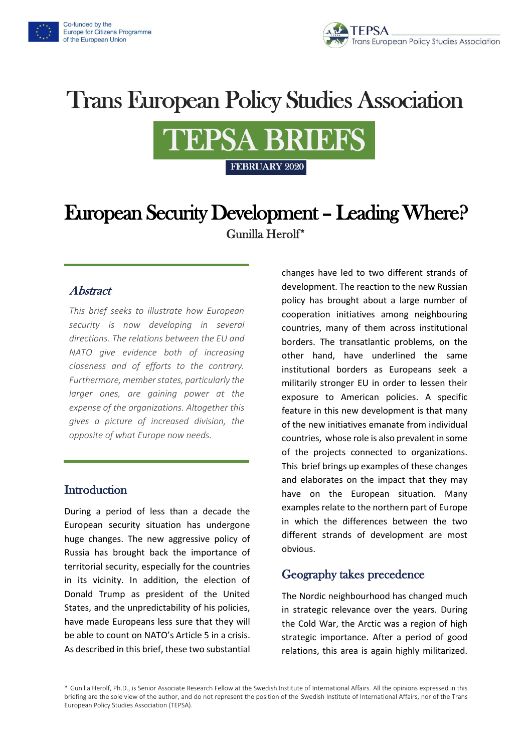



# **Trans European Policy Studies Association**



## European Security Development – Leading Where? Gunilla Herolf\*

#### **Abstract**

*This brief seeks to illustrate how European security is now developing in several directions. The relations between the EU and NATO give evidence both of increasing closeness and of efforts to the contrary. Furthermore, member states, particularly the larger ones, are gaining power at the expense of the organizations. Altogether this gives a picture of increased division, the opposite of what Europe now needs.*

#### **Introduction**

During a period of less than a decade the European security situation has undergone huge changes. The new aggressive policy of Russia has brought back the importance of territorial security, especially for the countries in its vicinity. In addition, the election of Donald Trump as president of the United States, and the unpredictability of his policies, have made Europeans less sure that they will be able to count on NATO's Article 5 in a crisis. As described in this brief, these two substantial

changes have led to two different strands of development. The reaction to the new Russian policy has brought about a large number of cooperation initiatives among neighbouring countries, many of them across institutional borders. The transatlantic problems, on the other hand, have underlined the same institutional borders as Europeans seek a militarily stronger EU in order to lessen their exposure to American policies. A specific feature in this new development is that many of the new initiatives emanate from individual countries, whose role is also prevalent in some of the projects connected to organizations. This brief brings up examples of these changes and elaborates on the impact that they may have on the European situation. Many examples relate to the northern part of Europe in which the differences between the two different strands of development are most obvious.

#### Geography takes precedence

The Nordic neighbourhood has changed much in strategic relevance over the years. During the Cold War, the Arctic was a region of high strategic importance. After a period of good relations, this area is again highly militarized.

\* Gunilla Herolf, Ph.D., is Senior Associate Research Fellow at the Swedish Institute of International Affairs. All the opinions expressed in this briefing are the sole view of the author, and do not represent the position of the Swedish Institute of International Affairs, nor of the Trans European Policy Studies Association (TEPSA).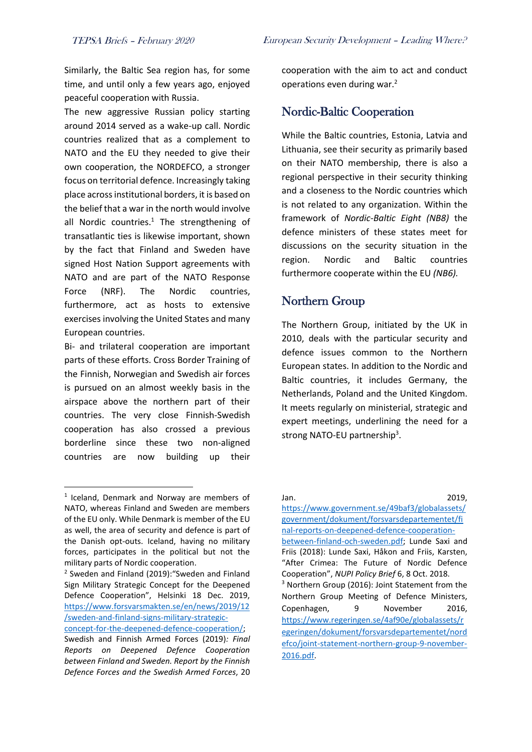Similarly, the Baltic Sea region has, for some time, and until only a few years ago, enjoyed peaceful cooperation with Russia.

The new aggressive Russian policy starting around 2014 served as a wake-up call. Nordic countries realized that as a complement to NATO and the EU they needed to give their own cooperation, the NORDEFCO, a stronger focus on territorial defence. Increasingly taking place across institutional borders, it is based on the belief that a war in the north would involve all Nordic countries. $1$  The strengthening of transatlantic ties is likewise important, shown by the fact that Finland and Sweden have signed Host Nation Support agreements with NATO and are part of the NATO Response Force (NRF). The Nordic countries, furthermore, act as hosts to extensive exercises involving the United States and many European countries.

Bi- and trilateral cooperation are important parts of these efforts. Cross Border Training of the Finnish, Norwegian and Swedish air forces is pursued on an almost weekly basis in the airspace above the northern part of their countries. The very close Finnish-Swedish cooperation has also crossed a previous borderline since these two non-aligned countries are now building up their cooperation with the aim to act and conduct operations even during war.<sup>2</sup>

#### Nordic-Baltic Cooperation

While the Baltic countries, Estonia, Latvia and Lithuania, see their security as primarily based on their NATO membership, there is also a regional perspective in their security thinking and a closeness to the Nordic countries which is not related to any organization. Within the framework of *Nordic-Baltic Eight (NB8)* the defence ministers of these states meet for discussions on the security situation in the region. Nordic and Baltic countries furthermore cooperate within the EU *(NB6).* 

#### Northern Group

The Northern Group, initiated by the UK in 2010, deals with the particular security and defence issues common to the Northern European states. In addition to the Nordic and Baltic countries, it includes Germany, the Netherlands, Poland and the United Kingdom. It meets regularly on ministerial, strategic and expert meetings, underlining the need for a strong NATO-EU partnership<sup>3</sup>.

Jan. 2019,

<sup>1</sup> Iceland, Denmark and Norway are members of NATO, whereas Finland and Sweden are members of the EU only. While Denmark is member of the EU as well, the area of security and defence is part of the Danish opt-outs. Iceland, having no military forces, participates in the political but not the military parts of Nordic cooperation.

<sup>2</sup> Sweden and Finland (2019):"Sweden and Finland Sign Military Strategic Concept for the Deepened Defence Cooperation", Helsinki 18 Dec. 2019, [https://www.forsvarsmakten.se/en/news/2019/12](https://www.forsvarsmakten.se/en/news/2019/12/sweden-and-finland-signs-military-strategic-concept-for-the-deepened-defence-cooperation/) [/sweden-and-finland-signs-military-strategic-](https://www.forsvarsmakten.se/en/news/2019/12/sweden-and-finland-signs-military-strategic-concept-for-the-deepened-defence-cooperation/)

[concept-for-the-deepened-defence-cooperation/;](https://www.forsvarsmakten.se/en/news/2019/12/sweden-and-finland-signs-military-strategic-concept-for-the-deepened-defence-cooperation/)

Swedish and Finnish Armed Forces (2019)*: Final Reports on Deepened Defence Cooperation between Finland and Sweden. Report by the Finnish Defence Forces and the Swedish Armed Forces*, 20

[https://www.government.se/49baf3/globalassets/](https://www.government.se/49baf3/globalassets/government/dokument/forsvarsdepartementet/final-reports-on-deepened-defence-cooperation-between-finland-och-sweden.pdf) [government/dokument/forsvarsdepartementet/fi](https://www.government.se/49baf3/globalassets/government/dokument/forsvarsdepartementet/final-reports-on-deepened-defence-cooperation-between-finland-och-sweden.pdf) [nal-reports-on-deepened-defence-cooperation](https://www.government.se/49baf3/globalassets/government/dokument/forsvarsdepartementet/final-reports-on-deepened-defence-cooperation-between-finland-och-sweden.pdf)[between-finland-och-sweden.pdf;](https://www.government.se/49baf3/globalassets/government/dokument/forsvarsdepartementet/final-reports-on-deepened-defence-cooperation-between-finland-och-sweden.pdf) Lunde Saxi and Friis (2018): Lunde Saxi, Håkon and Friis, Karsten, "After Crimea: The Future of Nordic Defence Cooperation", *NUPI Policy Brief* 6, 8 Oct. 2018. <sup>3</sup> Northern Group (2016): Joint Statement from the Northern Group Meeting of Defence Ministers, Copenhagen, 9 November 2016, [https://www.regeringen.se/4af90e/globalassets/r](https://www.regeringen.se/4af90e/globalassets/regeringen/dokument/forsvarsdepartementet/nordefco/joint-statement-northern-group-9-november-2016.pdf) [egeringen/dokument/forsvarsdepartementet/nord](https://www.regeringen.se/4af90e/globalassets/regeringen/dokument/forsvarsdepartementet/nordefco/joint-statement-northern-group-9-november-2016.pdf) [efco/joint-statement-northern-group-9-november-](https://www.regeringen.se/4af90e/globalassets/regeringen/dokument/forsvarsdepartementet/nordefco/joint-statement-northern-group-9-november-2016.pdf)[2016.pdf.](https://www.regeringen.se/4af90e/globalassets/regeringen/dokument/forsvarsdepartementet/nordefco/joint-statement-northern-group-9-november-2016.pdf)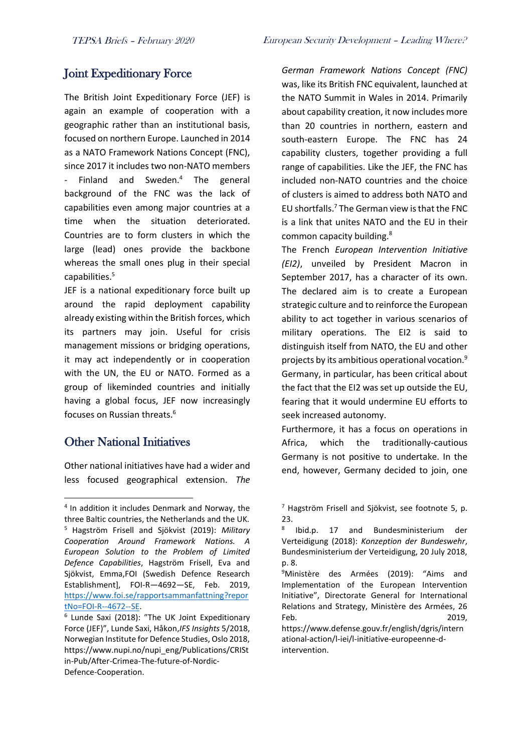### Joint Expeditionary Force

The British Joint Expeditionary Force (JEF) is again an example of cooperation with a geographic rather than an institutional basis, focused on northern Europe. Launched in 2014 as a NATO Framework Nations Concept (FNC), since 2017 it includes two non-NATO members Finland and Sweden. $4$  The general background of the FNC was the lack of capabilities even among major countries at a time when the situation deteriorated. Countries are to form clusters in which the large (lead) ones provide the backbone whereas the small ones plug in their special capabilities.<sup>5</sup>

JEF is a national expeditionary force built up around the rapid deployment capability already existing within the British forces, which its partners may join. Useful for crisis management missions or bridging operations, it may act independently or in cooperation with the UN, the EU or NATO. Formed as a group of likeminded countries and initially having a global focus, JEF now increasingly focuses on Russian threats.<sup>6</sup>

### Other National Initiatives

Other national initiatives have had a wider and less focused geographical extension. *The*  *German Framework Nations Concept (FNC)*  was, like its British FNC equivalent, launched at the NATO Summit in Wales in 2014. Primarily about capability creation, it now includes more than 20 countries in northern, eastern and south-eastern Europe. The FNC has 24 capability clusters, together providing a full range of capabilities. Like the JEF, the FNC has included non-NATO countries and the choice of clusters is aimed to address both NATO and EU shortfalls.<sup>7</sup> The German view is that the FNC is a link that unites NATO and the EU in their common capacity building.<sup>8</sup>

The French *European Intervention Initiative (EI2)*, unveiled by President Macron in September 2017, has a character of its own. The declared aim is to create a European strategic culture and to reinforce the European ability to act together in various scenarios of military operations. The EI2 is said to distinguish itself from NATO, the EU and other projects by its ambitious operational vocation.<sup>9</sup> Germany, in particular, has been critical about the fact that the EI2 was set up outside the EU, fearing that it would undermine EU efforts to seek increased autonomy.

Furthermore, it has a focus on operations in Africa, which the traditionally-cautious Germany is not positive to undertake. In the end, however, Germany decided to join, one

<sup>4</sup> In addition it includes Denmark and Norway, the three Baltic countries, the Netherlands and the UK. <sup>5</sup> Hagström Frisell and Sjökvist (2019): *Military Cooperation Around Framework Nations. A European Solution to the Problem of Limited Defence Capabilities*, Hagström Frisell, Eva and Sjökvist, Emma,FOI (Swedish Defence Research Establishment], FOI-R—4692—SE, Feb. 2019, [https://www.foi.se/rapportsammanfattning?repor](https://www.foi.se/rapportsammanfattning?reportNo=FOI-R--4672--SE) [tNo=FOI-R--4672--SE.](https://www.foi.se/rapportsammanfattning?reportNo=FOI-R--4672--SE)

<sup>&</sup>lt;sup>6</sup> Lunde Saxi (2018): "The UK Joint Expeditionary Force (JEF)", Lunde Saxi, Håkon,*IFS Insights* 5/2018, Norwegian Institute for Defence Studies, Oslo 2018, https://www.nupi.no/nupi\_eng/Publications/CRISt in-Pub/After-Crimea-The-future-of-Nordic-Defence-Cooperation.

 $<sup>7</sup>$  Hagström Frisell and Sjökvist, see footnote 5, p.</sup>  $23.$ 

<sup>8</sup> Ibid.p. 17 and Bundesministerium der Verteidigung (2018): *Konzeption der Bundeswehr*, Bundesministerium der Verteidigung, 20 July 2018, p. 8.

<sup>&</sup>lt;sup>9</sup>Ministère des Armées (2019): "Aims and Implementation of the European Intervention Initiative", Directorate General for International Relations and Strategy, Ministère des Armées, 26 Feb. 2019,

https://www.defense.gouv.fr/english/dgris/intern ational-action/l-iei/l-initiative-europeenne-dintervention.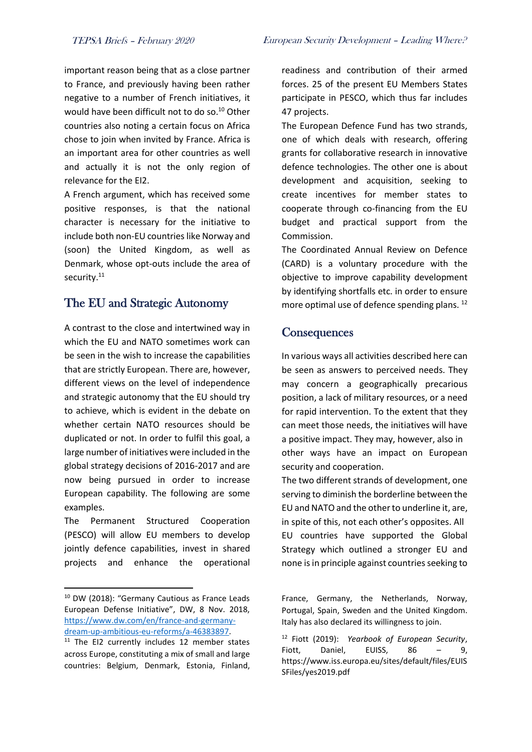important reason being that as a close partner to France, and previously having been rather negative to a number of French initiatives, it would have been difficult not to do so.<sup>10</sup> Other countries also noting a certain focus on Africa chose to join when invited by France. Africa is an important area for other countries as well and actually it is not the only region of relevance for the EI2.

A French argument, which has received some positive responses, is that the national character is necessary for the initiative to include both non-EU countries like Norway and (soon) the United Kingdom, as well as Denmark, whose opt-outs include the area of security.<sup>11</sup>

#### The EU and Strategic Autonomy

A contrast to the close and intertwined way in which the EU and NATO sometimes work can be seen in the wish to increase the capabilities that are strictly European. There are, however, different views on the level of independence and strategic autonomy that the EU should try to achieve, which is evident in the debate on whether certain NATO resources should be duplicated or not. In order to fulfil this goal, a large number of initiatives were included in the global strategy decisions of 2016-2017 and are now being pursued in order to increase European capability. The following are some examples.

The Permanent Structured Cooperation (PESCO) will allow EU members to develop jointly defence capabilities, invest in shared projects and enhance the operational

readiness and contribution of their armed forces. 25 of the present EU Members States participate in PESCO, which thus far includes 47 projects.

The European Defence Fund has two strands, one of which deals with research, offering grants for collaborative research in innovative defence technologies. The other one is about development and acquisition, seeking to create incentives for member states to cooperate through co-financing from the EU budget and practical support from the Commission.

The Coordinated Annual Review on Defence (CARD) is a voluntary procedure with the objective to improve capability development by identifying shortfalls etc. in order to ensure more optimal use of defence spending plans. <sup>12</sup>

#### **Consequences**

In various ways all activities described here can be seen as answers to perceived needs. They may concern a geographically precarious position, a lack of military resources, or a need for rapid intervention. To the extent that they can meet those needs, the initiatives will have a positive impact. They may, however, also in other ways have an impact on European security and cooperation.

The two different strands of development, one serving to diminish the borderline between the EU and NATO and the other to underline it, are, in spite of this, not each other's opposites. All EU countries have supported the Global Strategy which outlined a stronger EU and none is in principle against countries seeking to

<sup>10</sup> DW (2018): "Germany Cautious as France Leads European Defense Initiative", DW, 8 Nov. 2018, [https://www.dw.com/en/france-and-germany](https://www.dw.com/en/france-and-germany-dream-up-ambitious-eu-reforms/a-46383897)[dream-up-ambitious-eu-reforms/a-46383897.](https://www.dw.com/en/france-and-germany-dream-up-ambitious-eu-reforms/a-46383897)

 $11$  The EI2 currently includes 12 member states across Europe, constituting a mix of small and large countries: Belgium, Denmark, Estonia, Finland,

France, Germany, the Netherlands, Norway, Portugal, Spain, Sweden and the United Kingdom. Italy has also declared its willingness to join.

<sup>12</sup> Fiott (2019): *Yearbook of European Security*, Fiott, Daniel, EUISS, 86 - 9, https://www.iss.europa.eu/sites/default/files/EUIS SFiles/yes2019.pdf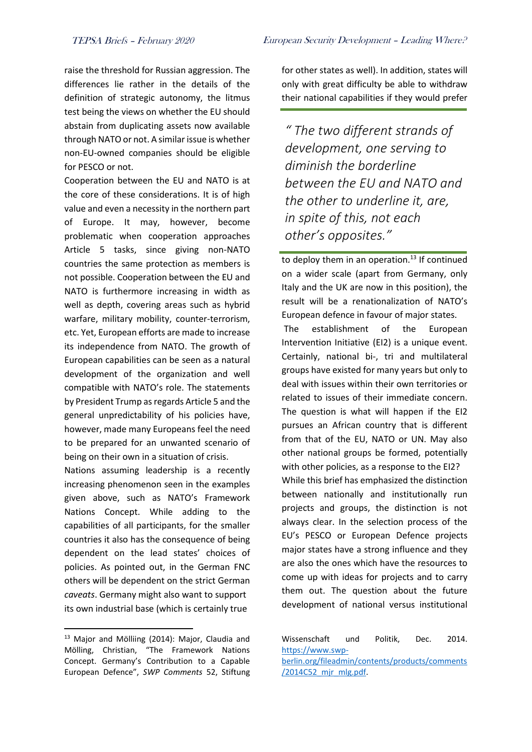raise the threshold for Russian aggression. The differences lie rather in the details of the definition of strategic autonomy, the litmus test being the views on whether the EU should abstain from duplicating assets now available through NATO or not. A similar issue is whether non-EU-owned companies should be eligible for PESCO or not.

Cooperation between the EU and NATO is at the core of these considerations. It is of high value and even a necessity in the northern part of Europe. It may, however, become problematic when cooperation approaches Article 5 tasks, since giving non-NATO countries the same protection as members is not possible. Cooperation between the EU and NATO is furthermore increasing in width as well as depth, covering areas such as hybrid warfare, military mobility, counter-terrorism, etc. Yet, European efforts are made to increase its independence from NATO. The growth of European capabilities can be seen as a natural development of the organization and well compatible with NATO's role. The statements by President Trump as regards Article 5 and the general unpredictability of his policies have, however, made many Europeans feel the need to be prepared for an unwanted scenario of being on their own in a situation of crisis.

Nations assuming leadership is a recently increasing phenomenon seen in the examples given above, such as NATO's Framework Nations Concept. While adding to the capabilities of all participants, for the smaller countries it also has the consequence of being dependent on the lead states' choices of policies. As pointed out, in the German FNC others will be dependent on the strict German *caveats*. Germany might also want to support its own industrial base (which is certainly true

for other states as well). In addition, states will only with great difficulty be able to withdraw their national capabilities if they would prefer

*" The two different strands of development, one serving to diminish the borderline between the EU and NATO and the other to underline it, are, in spite of this, not each other's opposites."*

to deploy them in an operation. $13$  If continued on a wider scale (apart from Germany, only Italy and the UK are now in this position), the result will be a renationalization of NATO's European defence in favour of major states.

The establishment of the European Intervention Initiative (EI2) is a unique event. Certainly, national bi-, tri and multilateral groups have existed for many years but only to deal with issues within their own territories or related to issues of their immediate concern. The question is what will happen if the EI2 pursues an African country that is different from that of the EU, NATO or UN. May also other national groups be formed, potentially with other policies, as a response to the EI2? While this brief has emphasized the distinction between nationally and institutionally run projects and groups, the distinction is not always clear. In the selection process of the EU's PESCO or European Defence projects major states have a strong influence and they are also the ones which have the resources to come up with ideas for projects and to carry them out. The question about the future development of national versus institutional

<sup>&</sup>lt;sup>13</sup> Major and Mölliing (2014): Major, Claudia and Mölling, Christian, "The Framework Nations Concept. Germany's Contribution to a Capable European Defence", *SWP Comments* 52, Stiftung

Wissenschaft und Politik, Dec. 2014. [https://www.swp-](https://www.swp-berlin.org/fileadmin/contents/products/comments/2014C52_mjr_mlg.pdf)

[berlin.org/fileadmin/contents/products/comments](https://www.swp-berlin.org/fileadmin/contents/products/comments/2014C52_mjr_mlg.pdf) [/2014C52\\_mjr\\_mlg.pdf.](https://www.swp-berlin.org/fileadmin/contents/products/comments/2014C52_mjr_mlg.pdf)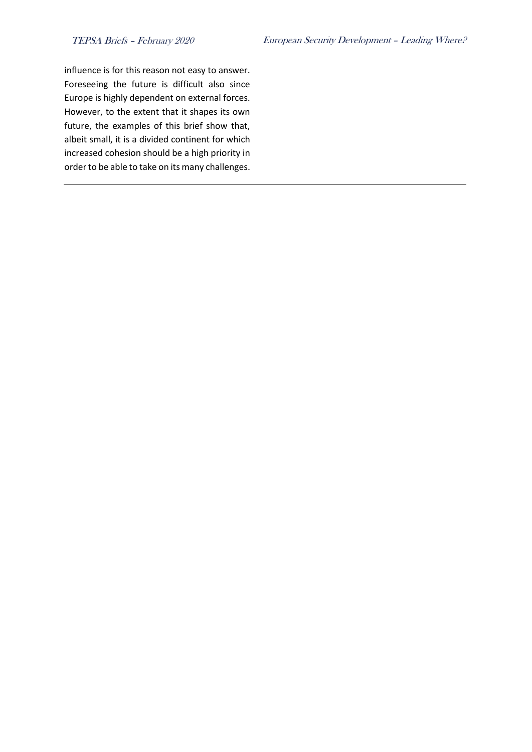influence is for this reason not easy to answer. Foreseeing the future is difficult also since Europe is highly dependent on external forces. However, to the extent that it shapes its own future, the examples of this brief show that, albeit small, it is a divided continent for which increased cohesion should be a high priority in order to be able to take on its many challenges.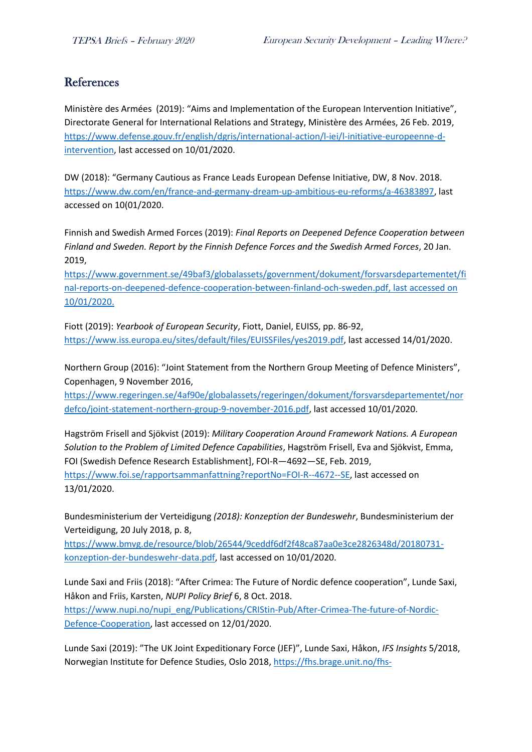#### References

Ministère des Armées (2019): "Aims and Implementation of the European Intervention Initiative", Directorate General for International Relations and Strategy, Ministère des Armées, 26 Feb. 2019, [https://www.defense.gouv.fr/english/dgris/international-action/l-iei/l-initiative-europeenne-d](https://www.defense.gouv.fr/english/dgris/international-action/l-iei/l-initiative-europeenne-d-intervention)[intervention,](https://www.defense.gouv.fr/english/dgris/international-action/l-iei/l-initiative-europeenne-d-intervention) last accessed on 10/01/2020.

DW (2018): "Germany Cautious as France Leads European Defense Initiative, DW, 8 Nov. 2018. [https://www.dw.com/en/france-and-germany-dream-up-ambitious-eu-reforms/a-46383897,](https://www.dw.com/en/france-and-germany-dream-up-ambitious-eu-reforms/a-46383897) last accessed on 10(01/2020.

Finnish and Swedish Armed Forces (2019): *Final Reports on Deepened Defence Cooperation between Finland and Sweden. Report by the Finnish Defence Forces and the Swedish Armed Forces*, 20 Jan. 2019,

[https://www.government.se/49baf3/globalassets/government/dokument/forsvarsdepartementet/fi](https://www.government.se/49baf3/globalassets/government/dokument/forsvarsdepartementet/final-reports-on-deepened-defence-cooperation-between-finland-och-sweden.pdf) [nal-reports-on-deepened-defence-cooperation-between-finland-och-sweden.pdf,](https://www.government.se/49baf3/globalassets/government/dokument/forsvarsdepartementet/final-reports-on-deepened-defence-cooperation-between-finland-och-sweden.pdf) last accessed on 10/01/2020.

Fiott (2019): *Yearbook of European Security*, Fiott, Daniel, EUISS, pp. 86-92, [https://www.iss.europa.eu/sites/default/files/EUISSFiles/yes2019.pdf,](https://www.iss.europa.eu/sites/default/files/EUISSFiles/yes2019.pdf) last accessed 14/01/2020.

Northern Group (2016): "Joint Statement from the Northern Group Meeting of Defence Ministers", Copenhagen, 9 November 2016,

[https://www.regeringen.se/4af90e/globalassets/regeringen/dokument/forsvarsdepartementet/nor](https://www.regeringen.se/4af90e/globalassets/regeringen/dokument/forsvarsdepartementet/nordefco/joint-statement-northern-group-9-november-2016.pdf) [defco/joint-statement-northern-group-9-november-2016.pdf,](https://www.regeringen.se/4af90e/globalassets/regeringen/dokument/forsvarsdepartementet/nordefco/joint-statement-northern-group-9-november-2016.pdf) last accessed 10/01/2020.

Hagström Frisell and Sjökvist (2019): *Military Cooperation Around Framework Nations. A European Solution to the Problem of Limited Defence Capabilities*, Hagström Frisell, Eva and Sjökvist, Emma, FOI (Swedish Defence Research Establishment], FOI-R—4692—SE, Feb. 2019, [https://www.foi.se/rapportsammanfattning?reportNo=FOI-R--4672--SE,](https://www.foi.se/rapportsammanfattning?reportNo=FOI-R--4672--SE) last accessed on

13/01/2020.

Bundesministerium der Verteidigung *(2018): Konzeption der Bundeswehr*, Bundesministerium der Verteidigung, 20 July 2018, p. 8,

[https://www.bmvg.de/resource/blob/26544/9ceddf6df2f48ca87aa0e3ce2826348d/20180731](https://www.bmvg.de/resource/blob/26544/9ceddf6df2f48ca87aa0e3ce2826348d/20180731-konzeption-der-bundeswehr-data.pdf) [konzeption-der-bundeswehr-data.pdf,](https://www.bmvg.de/resource/blob/26544/9ceddf6df2f48ca87aa0e3ce2826348d/20180731-konzeption-der-bundeswehr-data.pdf) last accessed on 10/01/2020.

Lunde Saxi and Friis (2018): "After Crimea: The Future of Nordic defence cooperation", Lunde Saxi, Håkon and Friis, Karsten, *NUPI Policy Brief* 6, 8 Oct. 2018. [https://www.nupi.no/nupi\\_eng/Publications/CRIStin-Pub/After-Crimea-The-future-of-Nordic-](https://www.nupi.no/nupi_eng/Publications/CRIStin-Pub/After-Crimea-The-future-of-Nordic-Defence-Cooperation)[Defence-Cooperation,](https://www.nupi.no/nupi_eng/Publications/CRIStin-Pub/After-Crimea-The-future-of-Nordic-Defence-Cooperation) last accessed on 12/01/2020.

Lunde Saxi (2019): "The UK Joint Expeditionary Force (JEF)", Lunde Saxi, Håkon, *IFS Insights* 5/2018, Norwegian Institute for Defence Studies, Oslo 2018, [https://fhs.brage.unit.no/fhs-](https://fhs.brage.unit.no/fhs-xmlui/bitstream/handle/11250/2498483/IFS%20Insights_5_2018_Saxi.pdf?sequence=1&isAllowed=y)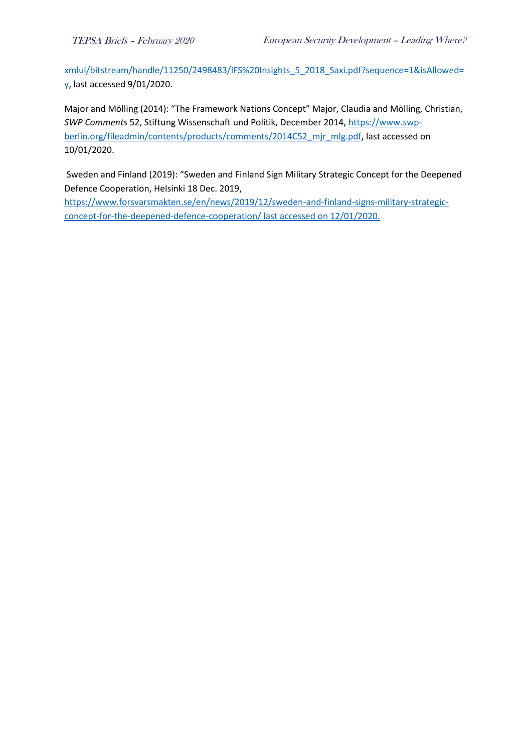[xmlui/bitstream/handle/11250/2498483/IFS%20Insights\\_5\\_2018\\_Saxi.pdf?sequence=1&isAllowed=](https://fhs.brage.unit.no/fhs-xmlui/bitstream/handle/11250/2498483/IFS%20Insights_5_2018_Saxi.pdf?sequence=1&isAllowed=y) [y,](https://fhs.brage.unit.no/fhs-xmlui/bitstream/handle/11250/2498483/IFS%20Insights_5_2018_Saxi.pdf?sequence=1&isAllowed=y) last accessed 9/01/2020.

Major and Mölling (2014): "The Framework Nations Concept" Major, Claudia and Mölling, Christian, *SWP Comments* 52, Stiftung Wissenschaft und Politik, December 2014, [https://www.swp](https://www.swp-berlin.org/fileadmin/contents/products/comments/2014C52_mjr_mlg.pdf)[berlin.org/fileadmin/contents/products/comments/2014C52\\_mjr\\_mlg.pdf,](https://www.swp-berlin.org/fileadmin/contents/products/comments/2014C52_mjr_mlg.pdf) last accessed on 10/01/2020.

Sweden and Finland (2019): "Sweden and Finland Sign Military Strategic Concept for the Deepened Defence Cooperation, Helsinki 18 Dec. 2019,

[https://www.forsvarsmakten.se/en/news/2019/12/sweden-and-finland-signs-military-strategic](https://www.forsvarsmakten.se/en/news/2019/12/sweden-and-finland-signs-military-strategic-concept-for-the-deepened-defence-cooperation/)[concept-for-the-deepened-defence-cooperation/](https://www.forsvarsmakten.se/en/news/2019/12/sweden-and-finland-signs-military-strategic-concept-for-the-deepened-defence-cooperation/) last accessed on 12/01/2020.